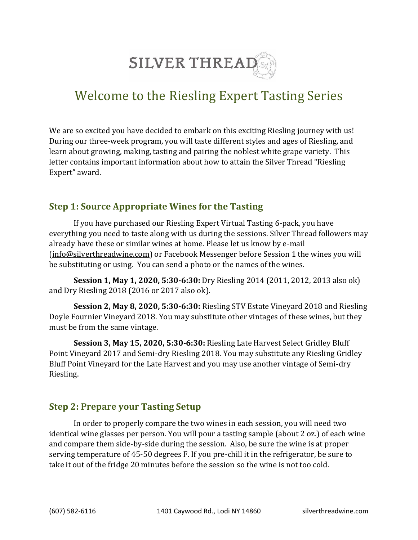

# Welcome to the Riesling Expert Tasting Series

We are so excited you have decided to embark on this exciting Riesling journey with us! During our three-week program, you will taste different styles and ages of Riesling, and learn about growing, making, tasting and pairing the noblest white grape variety. This letter contains important information about how to attain the Silver Thread "Riesling Expert" award.

#### **Step 1: Source Appropriate Wines for the Tasting**

If you have purchased our Riesling Expert Virtual Tasting 6-pack, you have everything you need to taste along with us during the sessions. Silver Thread followers may already have these or similar wines at home. Please let us know by e-mail [\(info@silverthreadwine.com\)](mailto:info@silverthreadwine.com) or Facebook Messenger before Session 1 the wines you will be substituting or using. You can send a photo or the names of the wines.

**Session 1, May 1, 2020, 5:30-6:30:** Dry Riesling 2014 (2011, 2012, 2013 also ok) and Dry Riesling 2018 (2016 or 2017 also ok).

**Session 2, May 8, 2020, 5:30-6:30:** Riesling STV Estate Vineyard 2018 and Riesling Doyle Fournier Vineyard 2018. You may substitute other vintages of these wines, but they must be from the same vintage.

**Session 3, May 15, 2020, 5:30-6:30:** Riesling Late Harvest Select Gridley Bluff Point Vineyard 2017 and Semi-dry Riesling 2018. You may substitute any Riesling Gridley Bluff Point Vineyard for the Late Harvest and you may use another vintage of Semi-dry Riesling.

## **Step 2: Prepare your Tasting Setup**

In order to properly compare the two wines in each session, you will need two identical wine glasses per person. You will pour a tasting sample (about 2 oz.) of each wine and compare them side-by-side during the session. Also, be sure the wine is at proper serving temperature of 45-50 degrees F. If you pre-chill it in the refrigerator, be sure to take it out of the fridge 20 minutes before the session so the wine is not too cold.